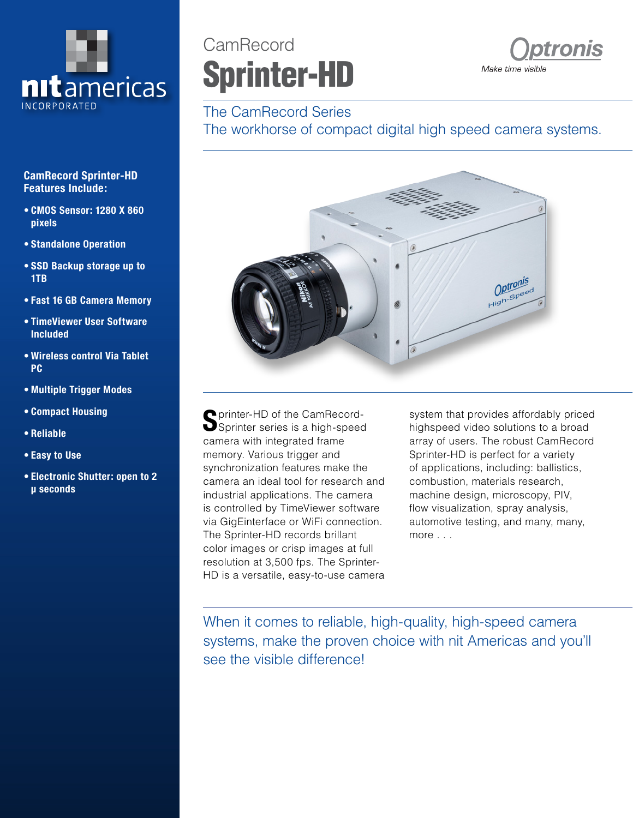

#### **CamRecord Sprinter-HD Features Include:**

- **• CMOS Sensor: 1280 X 860 pixels**
- **• Standalone Operation**
- **• SSD Backup storage up to 1TB**
- **• Fast 16 GB Camera Memory**
- **• TimeViewer User Software Included**
- **• Wireless control Via Tablet PC**
- **• Multiple Trigger Modes**
- **• Compact Housing**
- **• Reliable**
- **• Easy to Use**
- **• Electronic Shutter: open to 2 μ seconds**

# CamRecord Sprinter-HD



### The CamRecord Series

The workhorse of compact digital high speed camera systems.



**P** printer-HD of the CamRecord-Sprinter series is a high-speed camera with integrated frame memory. Various trigger and synchronization features make the camera an ideal tool for research and industrial applications. The camera is controlled by TimeViewer software via GigEinterface or WiFi connection. The Sprinter-HD records brillant color images or crisp images at full resolution at 3,500 fps. The Sprinter-HD is a versatile, easy-to-use camera

system that provides affordably priced highspeed video solutions to a broad array of users. The robust CamRecord Sprinter-HD is perfect for a variety of applications, including: ballistics, combustion, materials research, machine design, microscopy, PIV, flow visualization, spray analysis, automotive testing, and many, many, more . . .

When it comes to reliable, high-quality, high-speed camera systems, make the proven choice with nit Americas and you'll see the visible difference!